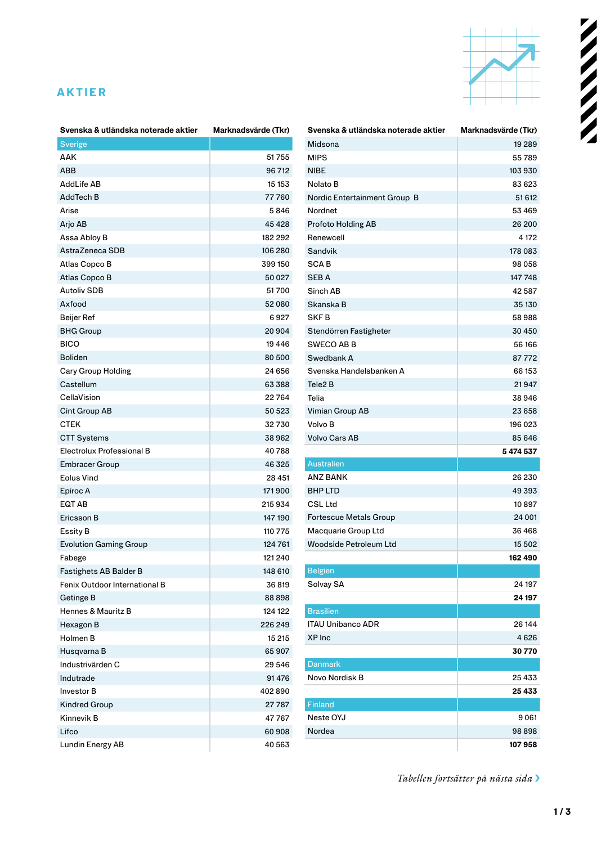## **AKTIER**



| Svenska & utländska noterade aktier | Marknadsvärde (Tkr) |
|-------------------------------------|---------------------|
| <b>Sverige</b>                      |                     |
| AAK                                 | 51755               |
| ABB                                 | 96712               |
| AddLife AB                          | 15 153              |
| AddTech B                           | 77760               |
| Arise                               | 5846                |
| Arjo AB                             | 45 4 28             |
| Assa Abloy B                        | 182 292             |
| AstraZeneca SDB                     | 106 280             |
| Atlas Copco B                       | 399 150             |
| Atlas Copco B                       | 50027               |
| <b>Autoliv SDB</b>                  | 51700               |
| Axfood                              | 52080               |
| <b>Beijer Ref</b>                   | 6927                |
| <b>BHG Group</b>                    | 20904               |
| <b>BICO</b>                         | 19 4 46             |
| <b>Boliden</b>                      | 80 500              |
| Cary Group Holding                  | 24 656              |
| Castellum                           | 63 388              |
| CellaVision                         | 22764               |
| Cint Group AB                       | 50 523              |
| <b>CTEK</b>                         | 32730               |
| <b>CTT Systems</b>                  | 38962               |
| Electrolux Professional B           | 40788               |
| Embracer Group                      | 46 325              |
| <b>Eolus Vind</b>                   | 28 451              |
| Epiroc A                            | 171900              |
| EQT AB                              | 215934              |
| Ericsson B                          | 147 190             |
| Essity B                            | 110 775             |
| <b>Evolution Gaming Group</b>       | 124 761             |
| Fabege                              | 121 240             |
| Fastighets AB Balder B              | 148 610             |
| Fenix Outdoor International B       | 36819               |
| Getinge B                           | 88898               |
| Hennes & Mauritz B                  | 124 122             |
| Hexagon B                           | 226 249             |
| Holmen B                            | 15 215              |
| Husqvarna B                         | 65907               |
| Industrivärden C                    | 29 546              |
| Indutrade                           | 91476               |
| <b>Investor B</b>                   | 402890              |
| Kindred Group                       | 27787               |
| Kinnevik B                          | 47767               |
| Lifco                               | 60 908              |
| Lundin Energy AB                    | 40 563              |

| Svenska & utländska noterade aktier | Marknadsvärde (Tkr) |
|-------------------------------------|---------------------|
| Midsona                             | 19 28 9             |
| <b>MIPS</b>                         | 55789               |
| <b>NIBE</b>                         | 103930              |
| Nolato B                            | 83623               |
| Nordic Entertainment Group B        | 51 612              |
| Nordnet                             | 53 469              |
| Profoto Holding AB                  | 26 200              |
| Renewcell                           | 4 172               |
| Sandvik                             | 178 083             |
| <b>SCAB</b>                         | 98 058              |
| <b>SEBA</b>                         | 147 748             |
| Sinch AB                            | 42587               |
| Skanska B                           | 35 130              |
| <b>SKFB</b>                         | 58988               |
| Stendörren Fastigheter              | 30450               |
| <b>SWECO AB B</b>                   | 56 166              |
| Swedbank A                          | 87772               |
| Svenska Handelsbanken A             | 66 153              |
| Tele2 <sub>B</sub>                  | 21947               |
| Telia                               | 38946               |
| Vimian Group AB                     | 23 658              |
| Volvo B                             | 196 023             |
| <b>Volvo Cars AB</b>                | 85 646              |
|                                     | 5474537             |
| <b>Australien</b>                   |                     |
| ANZ BANK                            | 26 230              |
| <b>BHP LTD</b>                      | 49 393              |
| <b>CSL Ltd</b>                      | 10897               |
| <b>Fortescue Metals Group</b>       | 24 001              |
| Macquarie Group Ltd                 | 36 4 68             |
| Woodside Petroleum Ltd              | 15 502              |
|                                     | 162 490             |
| <b>Belgien</b>                      |                     |
| Solvay SA                           | 24 197              |
|                                     | 24 197              |
| <b>Brasilien</b>                    |                     |
| <b>ITAU Unibanco ADR</b>            | 26 144              |
| XP Inc                              | 4626                |
|                                     | 30 770              |
| <b>Danmark</b>                      |                     |
| Novo Nordisk B                      | 25 433              |
|                                     | 25 433              |
| Finland                             |                     |
| Neste OYJ                           | 9061                |
| Nordea                              | 98 898              |
|                                     | 107958              |
|                                     |                     |

*Tabellen fortsätter på nästa sida* ›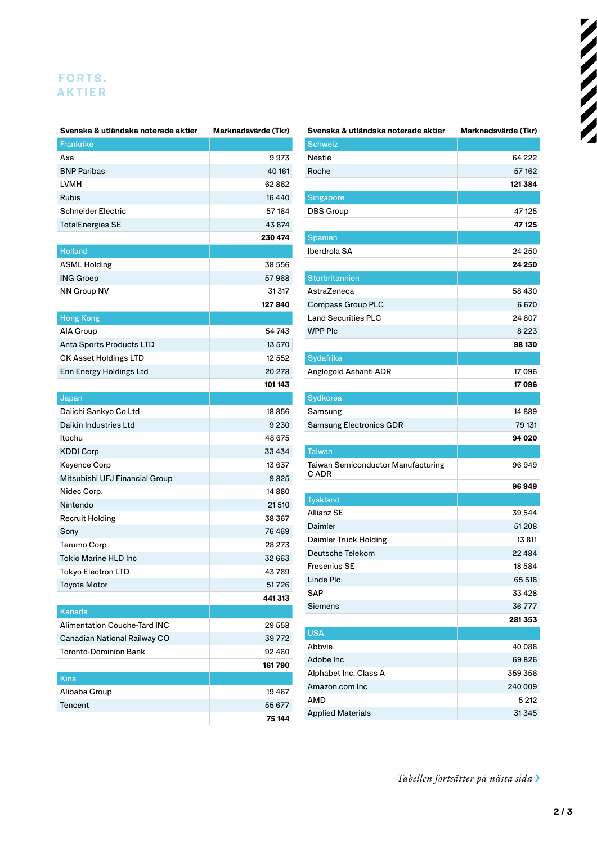## **AKTIER F O R T S .**

| Svenska & utländska noterade aktier | Marknadsvärde (Tkr) |
|-------------------------------------|---------------------|
| <b>Frankrike</b>                    |                     |
| Axa                                 | 9973                |
| <b>BNP Paribas</b>                  | 40 161              |
| LVMH                                | 62862               |
| Rubis                               | 16440               |
| Schneider Electric                  | 57 164              |
| <b>TotalEnergies SE</b>             | 43874               |
|                                     | 230 474             |
| <b>Holland</b>                      |                     |
| <b>ASML Holding</b>                 | 38 556              |
| <b>ING Groep</b>                    | 57968               |
| NN Group NV                         | 31 317              |
|                                     | 127840              |
| <b>Hong Kong</b>                    |                     |
| AIA Group                           | 54743               |
| Anta Sports Products LTD            | 13 570              |
| <b>CK Asset Holdings LTD</b>        | 12 5 5 2            |
| Enn Energy Holdings Ltd             | 20 278              |
|                                     | 101 143             |
| Japan                               |                     |
| Daiichi Sankyo Co Ltd               | 18856               |
| Daikin Industries Ltd               | 9230                |
| Itochu                              | 48 675              |
| <b>KDDI Corp</b>                    | 33 434              |
| Keyence Corp                        | 13 637              |
| Mitsubishi UFJ Financial Group      | 9825                |
| Nidec Corp.                         | 14880               |
| Nintendo                            | 21510               |
| <b>Recruit Holding</b>              | 38 367              |
| Sony                                | 76 469              |
| Terumo Corp                         | 28 273              |
| <b>Tokio Marine HLD Inc</b>         | 32 663              |
| Tokyo Electron LTD                  | 43769               |
| <b>Toyota Motor</b>                 | 51726               |
|                                     | 441313              |
| Kanada                              |                     |
| <b>Alimentation Couche-Tard INC</b> | 29 558              |
| Canadian National Railway CO        | 39772               |
| <b>Toronto-Dominion Bank</b>        | 92460               |
|                                     | 161790              |
| Kina                                |                     |
| Alibaba Group                       | 19467               |
| Tencent                             | 55 677              |
|                                     | 75 144              |

| Svenska & utländska noterade aktier       | Marknadsvärde (Tkr) |
|-------------------------------------------|---------------------|
| <b>Schweiz</b>                            |                     |
| Nestlé                                    | 64 222              |
| Roche                                     | 57162               |
|                                           | 121 384             |
| Singapore                                 |                     |
| <b>DBS Group</b>                          | 47 125              |
|                                           | 47 125              |
| Spanien                                   |                     |
| Iberdrola SA                              | 24 250              |
|                                           | 24 250              |
| <b>Storbritannien</b>                     |                     |
| AstraZeneca                               | 58 430              |
| <b>Compass Group PLC</b>                  | 6670                |
| <b>Land Securities PLC</b>                | 24 807              |
| <b>WPP PIc</b>                            | 8223                |
|                                           | 98 130              |
| Sydafrika                                 |                     |
| Anglogold Ashanti ADR                     | 17096               |
|                                           | 17096               |
| Sydkorea                                  |                     |
| Samsung                                   | 14889               |
| Samsung Electronics GDR                   | 79 131              |
|                                           | 94 020              |
| Taiwan                                    |                     |
| <b>Taiwan Semiconductor Manufacturing</b> | 96949               |
| C ADR                                     |                     |
|                                           | 96949               |
| <b>Tyskland</b>                           |                     |
| <b>Allianz SE</b>                         | 39 544              |
| Daimler                                   | 51208               |
| Daimler Truck Holding                     | 13811               |
| Deutsche Telekom                          | 22 4 8 4            |
| Fresenius SE                              | 18584               |
| Linde Plc                                 | 65 518              |
| <b>SAP</b>                                | 33 428              |
| Siemens                                   | 36777               |
|                                           | 281353              |
| <b>USA</b>                                |                     |
| Abbvie                                    | 40 088              |
| Adobe Inc                                 | 69826               |
| Alphabet Inc. Class A                     | 359 356             |
| Amazon.com Inc                            | 240 009             |
| AMD                                       | 5 2 1 2             |
| <b>Applied Materials</b>                  | 31345               |

*Tabellen fortsätter på nästa sida* ›